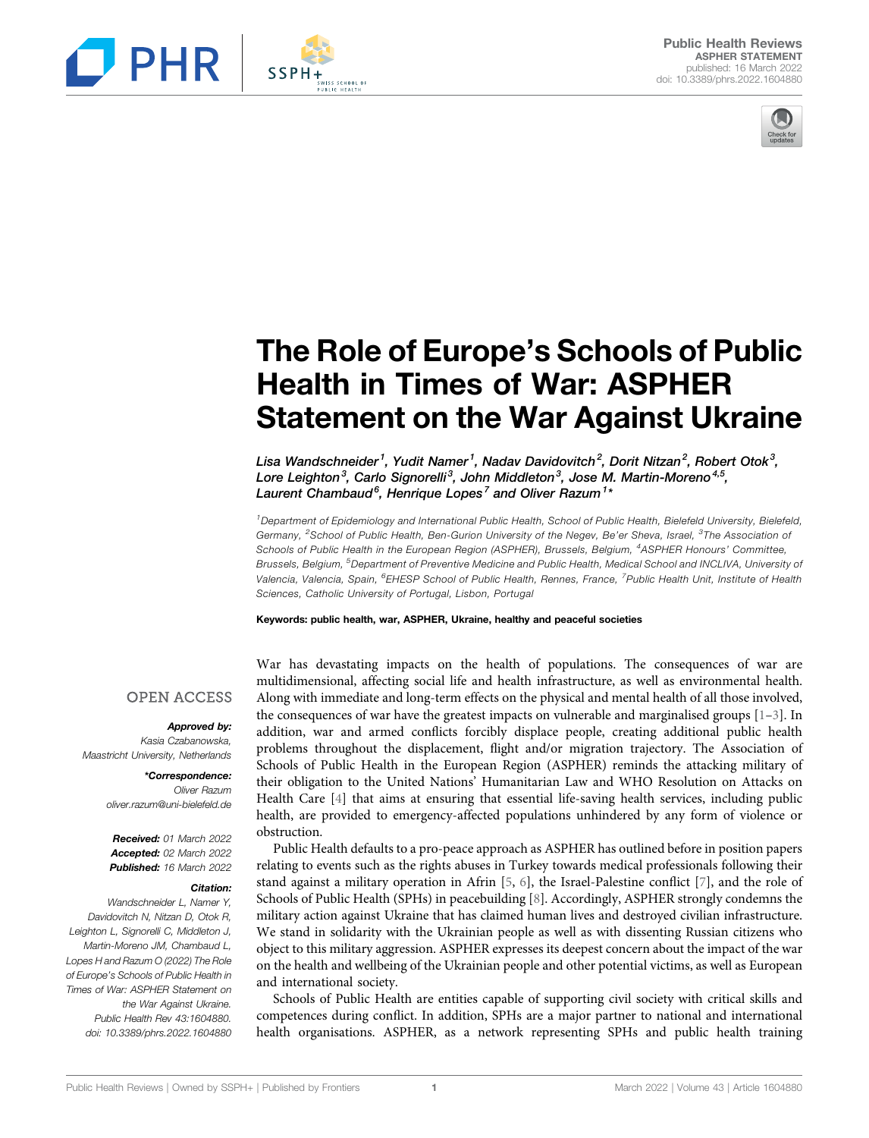



# The Role of Europe's Schools of Public Health in Times of War: ASPHER Statement on the War Against Ukraine

Lisa Wandschneider <sup>1</sup>, Yudit Namer <sup>1</sup>, Nadav Davidovitch <sup>2</sup>, Dorit Nitzan <sup>2</sup>, Robert Otok <sup>3</sup>, Lore Leighton $^3$ , Carlo Signorelli $^3$ , John Middleton $^3$ , Jose M. Martin-Moreno $^{4,5},$ Laurent Chambaud $^6$ , Henrique Lopes $^7$  and Oliver Razum $^{1\star}$ 

<sup>1</sup>Department of Epidemiology and International Public Health, School of Public Health, Bielefeld University, Bielefeld, Germany, <sup>2</sup>School of Public Health, Ben-Gurion University of the Negev, Be'er Sheva, Israel, <sup>3</sup>The Association oi Schools of Public Health in the European Region (ASPHER), Brussels, Belgium, <sup>4</sup>ASPHER Honours' Committee, Brussels, Belgium, <sup>5</sup>Department of Preventive Medicine and Public Health, Medical School and INCLIVA, University oi Valencia, Valencia, Spain, <sup>6</sup>EHESP School of Public Health, Rennes, France, <sup>7</sup>Public Health Unit, Institute of Health Sciences, Catholic University of Portugal, Lisbon, Portugal

#### Keywords: public health, war, ASPHER, Ukraine, healthy and peaceful societies

**OPEN ACCESS** 

#### Approved by:

Kasia Czabanowska, Maastricht University, Netherlands

> \*Correspondence: Oliver Razum [oliver.razum@uni-bielefeld.de](mailto:oliver.razum@uni-bielefeld.de)

Received: 01 March 2022 Accepted: 02 March 2022 Published: 16 March 2022

#### Citation:

Wandschneider L, Namer Y, Davidovitch N, Nitzan D, Otok R, Leighton L, Signorelli C, Middleton J, Martin-Moreno JM, Chambaud L, Lopes H and Razum O (2022) The Role of Europe's Schools of Public Health in Times of War: ASPHER Statement on the War Against Ukraine. Public Health Rev 43:1604880. doi: [10.3389/phrs.2022.1604880](https://doi.org/10.3389/phrs.2022.1604880) War has devastating impacts on the health of populations. The consequences of war are multidimensional, affecting social life and health infrastructure, as well as environmental health. Along with immediate and long-term effects on the physical and mental health of all those involved, the consequences of war have the greatest impacts on vulnerable and marginalised groups  $[1-3]$  $[1-3]$  $[1-3]$ . In addition, war and armed conflicts forcibly displace people, creating additional public health problems throughout the displacement, flight and/or migration trajectory. The Association of Schools of Public Health in the European Region (ASPHER) reminds the attacking military of their obligation to the United Nations' Humanitarian Law and WHO Resolution on Attacks on Health Care [[4](#page-2-2)] that aims at ensuring that essential life-saving health services, including public health, are provided to emergency-affected populations unhindered by any form of violence or obstruction.

Public Health defaults to a pro-peace approach as ASPHER has outlined before in position papers relating to events such as the rights abuses in Turkey towards medical professionals following their stand against a military operation in Afrin [\[5,](#page-2-3) [6\]](#page-2-4), the Israel-Palestine conflict [\[7\]](#page-2-5), and the role of Schools of Public Health (SPHs) in peacebuilding [[8](#page-2-6)]. Accordingly, ASPHER strongly condemns the military action against Ukraine that has claimed human lives and destroyed civilian infrastructure. We stand in solidarity with the Ukrainian people as well as with dissenting Russian citizens who object to this military aggression. ASPHER expresses its deepest concern about the impact of the war on the health and wellbeing of the Ukrainian people and other potential victims, as well as European and international society.

Schools of Public Health are entities capable of supporting civil society with critical skills and competences during conflict. In addition, SPHs are a major partner to national and international health organisations. ASPHER, as a network representing SPHs and public health training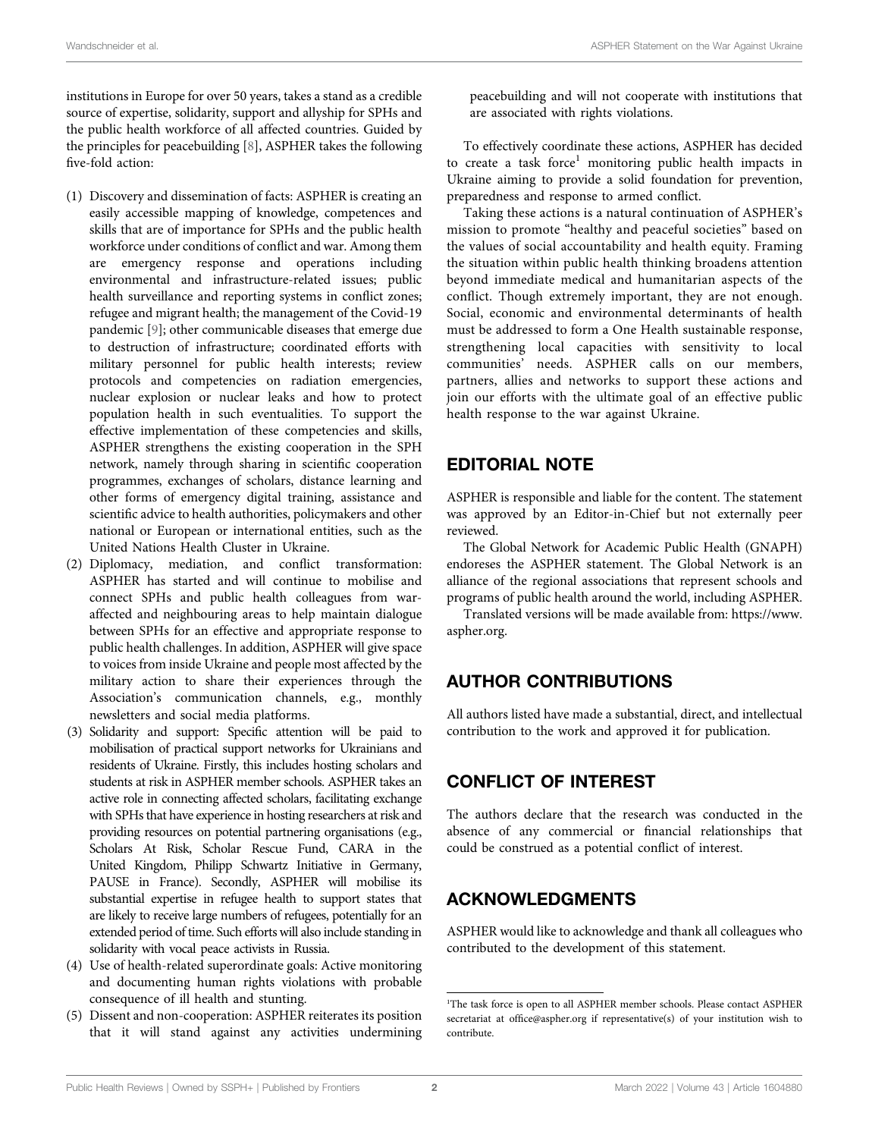institutions in Europe for over 50 years, takes a stand as a credible source of expertise, solidarity, support and allyship for SPHs and the public health workforce of all affected countries. Guided by the principles for peacebuilding [[8](#page-2-6)], ASPHER takes the following five-fold action:

- (1) Discovery and dissemination of facts: ASPHER is creating an easily accessible mapping of knowledge, competences and skills that are of importance for SPHs and the public health workforce under conditions of conflict and war. Among them are emergency response and operations including environmental and infrastructure-related issues; public health surveillance and reporting systems in conflict zones; refugee and migrant health; the management of the Covid-19 pandemic [[9](#page-2-7)]; other communicable diseases that emerge due to destruction of infrastructure; coordinated efforts with military personnel for public health interests; review protocols and competencies on radiation emergencies, nuclear explosion or nuclear leaks and how to protect population health in such eventualities. To support the effective implementation of these competencies and skills, ASPHER strengthens the existing cooperation in the SPH network, namely through sharing in scientific cooperation programmes, exchanges of scholars, distance learning and other forms of emergency digital training, assistance and scientific advice to health authorities, policymakers and other national or European or international entities, such as the United Nations Health Cluster in Ukraine.
- (2) Diplomacy, mediation, and conflict transformation: ASPHER has started and will continue to mobilise and connect SPHs and public health colleagues from waraffected and neighbouring areas to help maintain dialogue between SPHs for an effective and appropriate response to public health challenges. In addition, ASPHER will give space to voices from inside Ukraine and people most affected by the military action to share their experiences through the Association's communication channels, e.g., monthly newsletters and social media platforms.
- (3) Solidarity and support: Specific attention will be paid to mobilisation of practical support networks for Ukrainians and residents of Ukraine. Firstly, this includes hosting scholars and students at risk in ASPHER member schools. ASPHER takes an active role in connecting affected scholars, facilitating exchange with SPHs that have experience in hosting researchers at risk and providing resources on potential partnering organisations (e.g., Scholars At Risk, Scholar Rescue Fund, CARA in the United Kingdom, Philipp Schwartz Initiative in Germany, PAUSE in France). Secondly, ASPHER will mobilise its substantial expertise in refugee health to support states that are likely to receive large numbers of refugees, potentially for an extended period of time. Such efforts will also include standing in solidarity with vocal peace activists in Russia.
- (4) Use of health-related superordinate goals: Active monitoring and documenting human rights violations with probable consequence of ill health and stunting.
- (5) Dissent and non-cooperation: ASPHER reiterates its position that it will stand against any activities undermining

peacebuilding and will not cooperate with institutions that are associated with rights violations.

To effectively coordinate these actions, ASPHER has decided to create a task force<sup>1</sup> monitoring public health impacts in Ukraine aiming to provide a solid foundation for prevention, preparedness and response to armed conflict.

Taking these actions is a natural continuation of ASPHER's mission to promote "healthy and peaceful societies" based on the values of social accountability and health equity. Framing the situation within public health thinking broadens attention beyond immediate medical and humanitarian aspects of the conflict. Though extremely important, they are not enough. Social, economic and environmental determinants of health must be addressed to form a One Health sustainable response, strengthening local capacities with sensitivity to local communities' needs. ASPHER calls on our members, partners, allies and networks to support these actions and join our efforts with the ultimate goal of an effective public health response to the war against Ukraine.

#### EDITORIAL NOTE

ASPHER is responsible and liable for the content. The statement was approved by an Editor-in-Chief but not externally peer reviewed.

The Global Network for Academic Public Health (GNAPH) endoreses the ASPHER statement. The Global Network is an alliance of the regional associations that represent schools and programs of public health around the world, including ASPHER.

Translated versions will be made available from: [https://www.](https://www.aspher.org) [aspher.org.](https://www.aspher.org)

## AUTHOR CONTRIBUTIONS

All authors listed have made a substantial, direct, and intellectual contribution to the work and approved it for publication.

## CONFLICT OF INTEREST

The authors declare that the research was conducted in the absence of any commercial or financial relationships that could be construed as a potential conflict of interest.

## ACKNOWLEDGMENTS

ASPHER would like to acknowledge and thank all colleagues who contributed to the development of this statement.

<sup>&</sup>lt;sup>1</sup>The task force is open to all ASPHER member schools. Please contact ASPHER secretariat at offi[ce@aspher.org](mailto:office@aspher.org) if representative(s) of your institution wish to contribute.